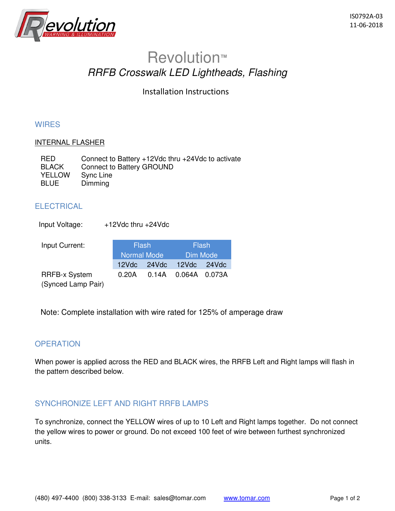

# Revolution**™** RRFB Crosswalk LED Lightheads, Flashing

Installation Instructions

#### **WIRES**

#### INTERNAL FLASHER

| <b>RED</b>    | Connect to Battery $+12$ Vdc thru $+24$ Vdc to activate |
|---------------|---------------------------------------------------------|
| <b>BLACK</b>  | Connect to Battery GROUND                               |
| <b>YELLOW</b> | Sync Line                                               |
| <b>BLUE</b>   | Dimming                                                 |

#### **ELECTRICAL**

| Input Voltage:                             | +12Vdc thru +24Vdc   |       |        |                 |
|--------------------------------------------|----------------------|-------|--------|-----------------|
| Input Current:                             | Flash<br>Normal Mode |       | Flash  |                 |
|                                            |                      |       |        | <b>Dim Mode</b> |
|                                            | 12Vdc                | 24Vdc | 12Vdc  | 24Vdc           |
| <b>RRFB-x System</b><br>(Synced Lamp Pair) | 0.20A                | 0.14A | 0.064A | 0.073A          |

Note: Complete installation with wire rated for 125% of amperage draw

#### **OPERATION**

When power is applied across the RED and BLACK wires, the RRFB Left and Right lamps will flash in the pattern described below.

### SYNCHRONIZE LEFT AND RIGHT RRFB LAMPS

To synchronize, connect the YELLOW wires of up to 10 Left and Right lamps together. Do not connect the yellow wires to power or ground. Do not exceed 100 feet of wire between furthest synchronized units.